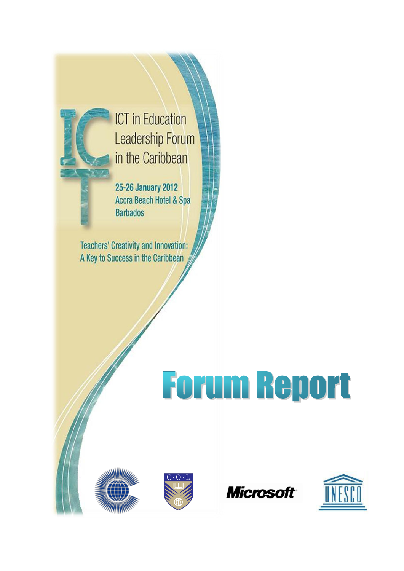

**ICT** in Education Leadership Forum in the Caribbean

25-26 January 2012 Accra Beach Hotel & Spa **Barbados** 

**Teachers' Creativity and Innovation:** A Key to Success in the Caribbean

# Forum Report







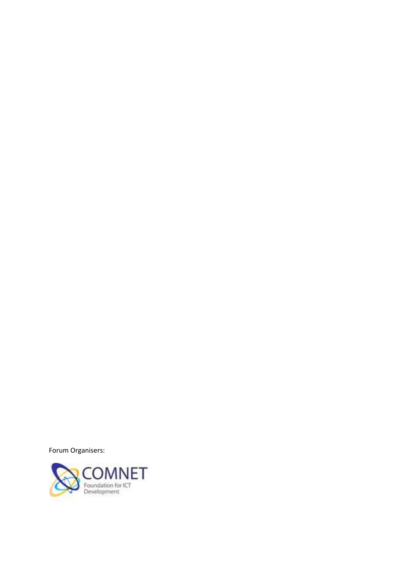Forum Organisers:

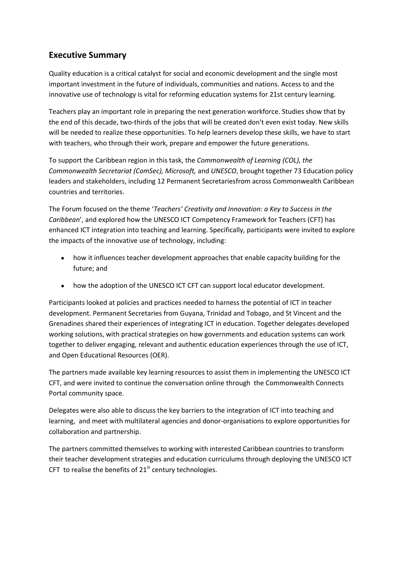# **Executive Summary**

Quality education is a critical catalyst for social and economic development and the single most important investment in the future of individuals, communities and nations. Access to and the innovative use of technology is vital for reforming education systems for 21st century learning.

Teachers play an important role in preparing the next generation workforce. Studies show that by the end of this decade, two-thirds of the jobs that will be created don't even exist today. New skills will be needed to realize these opportunities. To help learners develop these skills, we have to start with teachers, who through their work, prepare and empower the future generations.

To support the Caribbean region in this task, the *Commonwealth of Learning (COL), the Commonwealth Secretariat (ComSec), Microsoft,* and *UNESCO*, brought together 73 Education policy leaders and stakeholders, including 12 Permanent Secretariesfrom across Commonwealth Caribbean countries and territories.

The Forum focused on the theme '*Teachers' Creativity and Innovation: a Key to Success in the Caribbean*', and explored how the UNESCO ICT Competency Framework for Teachers (CFT) has enhanced ICT integration into teaching and learning. Specifically, participants were invited to explore the impacts of the innovative use of technology, including:

- how it influences teacher development approaches that enable capacity building for the future; and
- how the adoption of the [UNESCO ICT CFT](http://unesdoc.unesco.org/images/0021/002134/213475e.pdf) can support local educator development.

Participants looked at policies and practices needed to harness the potential of ICT in teacher development. Permanent Secretaries from Guyana, Trinidad and Tobago, and St Vincent and the Grenadines shared their experiences of integrating ICT in education. Together delegates developed working solutions, with practical strategies on how governments and education systems can work together to deliver engaging, relevant and authentic education experiences through the use of ICT, and Open Educational Resources (OER).

The partners made available key learning resources to assist them in implementing the UNESCO ICT CFT, and were invited to continue the conversation online through the Commonwealth Connects Portal community space.

Delegates were also able to discuss the key barriers to the integration of ICT into teaching and learning, and meet with multilateral agencies and donor-organisations to explore opportunities for collaboration and partnership.

The partners committed themselves to working with interested Caribbean countries to transform their teacher development strategies and education curriculums through deploying the UNESCO ICT CFT to realise the benefits of  $21<sup>st</sup>$  century technologies.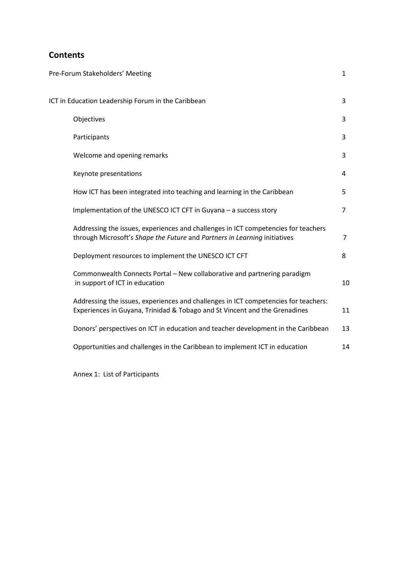# **Contents**

|                                                    | Pre-Forum Stakeholders' Meeting                                                                                                                                   | $\mathbf{1}$   |
|----------------------------------------------------|-------------------------------------------------------------------------------------------------------------------------------------------------------------------|----------------|
| ICT in Education Leadership Forum in the Caribbean |                                                                                                                                                                   |                |
|                                                    | Objectives                                                                                                                                                        | 3              |
|                                                    | Participants                                                                                                                                                      | 3              |
|                                                    | Welcome and opening remarks                                                                                                                                       | 3              |
|                                                    | Keynote presentations                                                                                                                                             | 4              |
|                                                    | How ICT has been integrated into teaching and learning in the Caribbean                                                                                           | 5              |
|                                                    | Implementation of the UNESCO ICT CFT in Guyana - a success story                                                                                                  | $\overline{7}$ |
|                                                    | Addressing the issues, experiences and challenges in ICT competencies for teachers<br>through Microsoft's Shape the Future and Partners in Learning initiatives   | $\overline{7}$ |
|                                                    | Deployment resources to implement the UNESCO ICT CFT                                                                                                              | 8              |
|                                                    | Commonwealth Connects Portal - New collaborative and partnering paradigm<br>in support of ICT in education                                                        | 10             |
|                                                    | Addressing the issues, experiences and challenges in ICT competencies for teachers:<br>Experiences in Guyana, Trinidad & Tobago and St Vincent and the Grenadines | 11             |
|                                                    | Donors' perspectives on ICT in education and teacher development in the Caribbean                                                                                 | 13             |
|                                                    | Opportunities and challenges in the Caribbean to implement ICT in education                                                                                       | 14             |
|                                                    |                                                                                                                                                                   |                |

Annex 1: List of Participants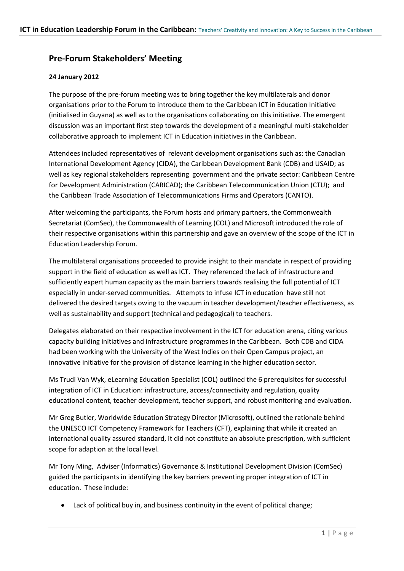# **Pre-Forum Stakeholders' Meeting**

## **24 January 2012**

The purpose of the pre-forum meeting was to bring together the key multilaterals and donor organisations prior to the Forum to introduce them to the Caribbean ICT in Education Initiative (initialised in Guyana) as well as to the organisations collaborating on this initiative. The emergent discussion was an important first step towards the development of a meaningful multi-stakeholder collaborative approach to implement ICT in Education initiatives in the Caribbean.

Attendees included representatives of relevant development organisations such as: the Canadian International Development Agency (CIDA), the Caribbean Development Bank (CDB) and USAID; as well as key regional stakeholders representing government and the private sector: Caribbean Centre for Development Administration (CARICAD); the Caribbean Telecommunication Union (CTU); and the Caribbean Trade Association of Telecommunications Firms and Operators (CANTO).

After welcoming the participants, the Forum hosts and primary partners, the Commonwealth Secretariat (ComSec), the Commonwealth of Learning (COL) and Microsoft introduced the role of their respective organisations within this partnership and gave an overview of the scope of the ICT in Education Leadership Forum.

The multilateral organisations proceeded to provide insight to their mandate in respect of providing support in the field of education as well as ICT. They referenced the lack of infrastructure and sufficiently expert human capacity as the main barriers towards realising the full potential of ICT especially in under-served communities. Attempts to infuse ICT in education have still not delivered the desired targets owing to the vacuum in teacher development/teacher effectiveness, as well as sustainability and support (technical and pedagogical) to teachers.

Delegates elaborated on their respective involvement in the ICT for education arena, citing various capacity building initiatives and infrastructure programmes in the Caribbean. Both CDB and CIDA had been working with the University of the West Indies on their Open Campus project, an innovative initiative for the provision of distance learning in the higher education sector.

Ms Trudi Van Wyk, eLearning Education Specialist (COL) outlined the 6 prerequisites for successful integration of ICT in Education: infrastructure, access/connectivity and regulation, quality educational content, teacher development, teacher support, and robust monitoring and evaluation.

Mr Greg Butler, Worldwide Education Strategy Director (Microsoft), outlined the rationale behind the UNESCO ICT Competency Framework for Teachers (CFT), explaining that while it created an international quality assured standard, it did not constitute an absolute prescription, with sufficient scope for adaption at the local level.

Mr Tony Ming, Adviser (Informatics) Governance & Institutional Development Division (ComSec) guided the participants in identifying the key barriers preventing proper integration of ICT in education. These include:

Lack of political buy in, and business continuity in the event of political change;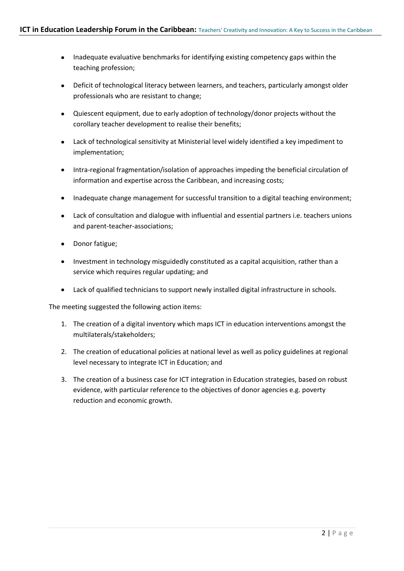- Inadequate evaluative benchmarks for identifying existing competency gaps within the teaching profession;
- Deficit of technological literacy between learners, and teachers, particularly amongst older professionals who are resistant to change;
- Quiescent equipment, due to early adoption of technology/donor projects without the corollary teacher development to realise their benefits;
- Lack of technological sensitivity at Ministerial level widely identified a key impediment to  $\bullet$  . implementation;
- Intra-regional fragmentation/isolation of approaches impeding the beneficial circulation of  $\bullet$ information and expertise across the Caribbean, and increasing costs;
- Inadequate change management for successful transition to a digital teaching environment;
- Lack of consultation and dialogue with influential and essential partners i.e. teachers unions and parent-teacher-associations;
- Donor fatigue;
- Investment in technology misguidedly constituted as a capital acquisition, rather than a service which requires regular updating; and
- Lack of qualified technicians to support newly installed digital infrastructure in schools.  $\bullet$

The meeting suggested the following action items:

- 1. The creation of a digital inventory which maps ICT in education interventions amongst the multilaterals/stakeholders;
- 2. The creation of educational policies at national level as well as policy guidelines at regional level necessary to integrate ICT in Education; and
- 3. The creation of a business case for ICT integration in Education strategies, based on robust evidence, with particular reference to the objectives of donor agencies e.g. poverty reduction and economic growth.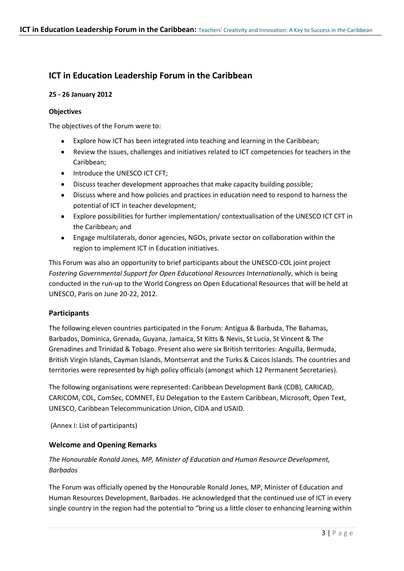# **ICT in Education Leadership Forum in the Caribbean**

#### **25 - 26 January 2012**

#### **Objectives**

The objectives of the Forum were to:

- Explore how ICT has been integrated into teaching and learning in the Caribbean;  $\bullet$
- Review the issues, challenges and initiatives related to ICT competencies for teachers in the  $\bullet$ Caribbean;
- Introduce the UNESCO ICT CFT;
- Discuss teacher development approaches that make capacity building possible;  $\bullet$
- Discuss where and how policies and practices in education need to respond to harness the  $\bullet$ potential of ICT in teacher development;
- Explore possibilities for further implementation/ contextualisation of the UNESCO ICT CFT in the Caribbean; and
- Engage multilaterals, donor agencies, NGOs, private sector on collaboration within the  $\bullet$ region to implement ICT in Education initiatives.

This Forum was also an opportunity to brief participants about the UNESCO-COL joint project *Fostering Governmental Support for Open Educational Resources Internationally*, which is being conducted in the run-up to the World Congress on Open Educational Resources that will be held at UNESCO, Paris on June 20-22, 2012.

## **Participants**

The following eleven countries participated in the Forum: Antigua & Barbuda, The Bahamas, Barbados, Dominica, Grenada, Guyana, Jamaica, St Kitts & Nevis, St Lucia, St Vincent & The Grenadines and Trinidad & Tobago. Present also were six British territories: Anguilla, Bermuda, British Virgin Islands, Cayman Islands, Montserrat and the Turks & Caicos Islands. The countries and territories were represented by high policy officials (amongst which 12 Permanent Secretaries).

The following organisations were represented: Caribbean Development Bank (CDB), CARICAD, CARICOM, COL, ComSec, COMNET, EU Delegation to the Eastern Caribbean, Microsoft, Open Text, UNESCO, Caribbean Telecommunication Union, CIDA and USAID.

(Annex I: List of participants)

## **Welcome and Opening Remarks**

## *The Honourable Ronald Jones, MP, Minister of Education and Human Resource Development, Barbados*

The Forum was officially opened by the Honourable Ronald Jones, MP, Minister of Education and Human Resources Development, Barbados. He acknowledged that the continued use of ICT in every single country in the region had the potential to "bring us a little closer to enhancing learning within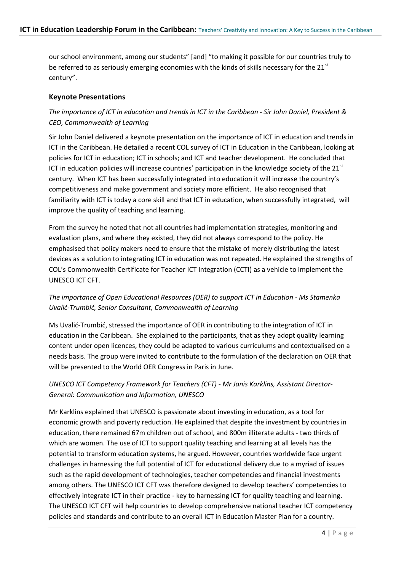our school environment, among our students" [and] "to making it possible for our countries truly to be referred to as seriously emerging economies with the kinds of skills necessary for the  $21<sup>st</sup>$ century".

#### **Keynote Presentations**

## *The importance of ICT in education and trends in ICT in the Caribbean - Sir John Daniel, President & CEO, Commonwealth of Learning*

Sir John Daniel delivered a keynote presentation on the importance of ICT in education and trends in ICT in the Caribbean. He detailed a recent COL survey of ICT in Education in the Caribbean, looking at policies for ICT in education; ICT in schools; and ICT and teacher development. He concluded that ICT in education policies will increase countries' participation in the knowledge society of the  $21<sup>st</sup>$ century. When ICT has been successfully integrated into education it will increase the country's competitiveness and make government and society more efficient. He also recognised that familiarity with ICT is today a core skill and that ICT in education, when successfully integrated, will improve the quality of teaching and learning.

From the survey he noted that not all countries had implementation strategies, monitoring and evaluation plans, and where they existed, they did not always correspond to the policy. He emphasised that policy makers need to ensure that the mistake of merely distributing the latest devices as a solution to integrating ICT in education was not repeated. He explained the strengths of COL's Commonwealth Certificate for Teacher ICT Integration (CCTI) as a vehicle to implement the UNESCO ICT CFT.

## *The importance of Open Educational Resources (OER) to support ICT in Education - Ms Stamenka Uvalid-Trumbid, Senior Consultant, Commonwealth of Learning*

Ms Uvalić-Trumbić, stressed the importance of OER in contributing to the integration of ICT in education in the Caribbean. She explained to the participants, that as they adopt quality learning content under open licences, they could be adapted to various curriculums and contextualised on a needs basis. The group were invited to contribute to the formulation of the declaration on OER that will be presented to the World OER Congress in Paris in June.

## *UNESCO ICT Competency Framework for Teachers (CFT) - Mr Janis Karklins, Assistant Director-General: Communication and Information, UNESCO*

Mr Karklins explained that UNESCO is passionate about investing in education, as a tool for economic growth and poverty reduction. He explained that despite the investment by countries in education, there remained 67m children out of school, and 800m illiterate adults - two thirds of which are women. The use of ICT to support quality teaching and learning at all levels has the potential to transform education systems, he argued. However, countries worldwide face urgent challenges in harnessing the full potential of ICT for educational delivery due to a myriad of issues such as the rapid development of technologies, teacher competencies and financial investments among others. The UNESCO ICT CFT was therefore designed to develop teachers' competencies to effectively integrate ICT in their practice - key to harnessing ICT for quality teaching and learning. The UNESCO ICT CFT will help countries to develop comprehensive national teacher ICT competency policies and standards and contribute to an overall ICT in Education Master Plan for a country.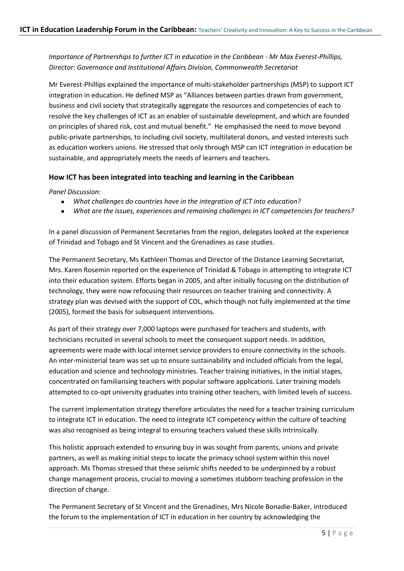## *Importance of Partnerships to further ICT in education in the Caribbean - Mr Max Everest-Phillips, Director: Governance and Institutional Affairs Division, Commonwealth Secretariat*

Mr Everest-Phillips explained the importance of multi-stakeholder partnerships (MSP) to support ICT integration in education. He defined MSP as "Alliances between parties drawn from government, business and civil society that strategically aggregate the resources and competencies of each to resolve the key challenges of ICT as an enabler of sustainable development, and which are founded on principles of shared risk, cost and mutual benefit." He emphasised the need to move beyond public-private partnerships, to including civil society, multilateral donors, and vested interests such as education workers unions. He stressed that only through MSP can ICT integration in education be sustainable, and appropriately meets the needs of learners and teachers.

#### **How ICT has been integrated into teaching and learning in the Caribbean**

*Panel Discussion:* 

- *What challenges do countries have in the integration of ICT into education?*
- *What are the issues, experiences and remaining challenges in ICT competencies for teachers?*

In a panel discussion of Permanent Secretaries from the region, delegates looked at the experience of Trinidad and Tobago and St Vincent and the Grenadines as case studies.

The Permanent Secretary, Ms Kathleen Thomas and Director of the Distance Learning Secretariat, Mrs. Karen Rosemin reported on the experience of Trinidad & Tobago in attempting to integrate ICT into their education system. Efforts began in 2005, and after initially focusing on the distribution of technology, they were now refocusing their resources on teacher training and connectivity. A strategy plan was devised with the support of COL, which though not fully implemented at the time (2005), formed the basis for subsequent interventions.

As part of their strategy over 7,000 laptops were purchased for teachers and students, with technicians recruited in several schools to meet the consequent support needs. In addition, agreements were made with local internet service providers to ensure connectivity in the schools. An inter-ministerial team was set up to ensure sustainability and included officials from the legal, education and science and technology ministries. Teacher training initiatives, in the initial stages, concentrated on familiarising teachers with popular software applications. Later training models attempted to co-opt university graduates into training other teachers, with limited levels of success.

The current implementation strategy therefore articulates the need for a teacher training curriculum to integrate ICT in education. The need to integrate ICT competency within the culture of teaching was also recognised as being integral to ensuring teachers valued these skills intrinsically.

This holistic approach extended to ensuring buy in was sought from parents, unions and private partners, as well as making initial steps to locate the primacy school system within this novel approach. Ms Thomas stressed that these seismic shifts needed to be underpinned by a robust change management process, crucial to moving a sometimes stubborn teaching profession in the direction of change.

The Permanent Secretary of St Vincent and the Grenadines, Mrs Nicole Bonadie-Baker, introduced the forum to the implementation of ICT in education in her country by acknowledging the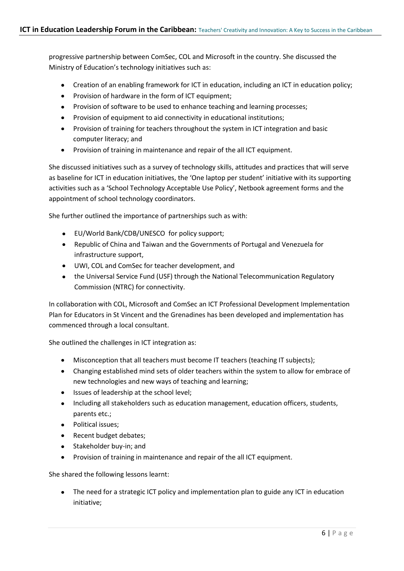progressive partnership between ComSec, COL and Microsoft in the country. She discussed the Ministry of Education's technology initiatives such as:

- Creation of an enabling framework for ICT in education, including an ICT in education policy;
- Provision of hardware in the form of ICT equipment;
- Provision of software to be used to enhance teaching and learning processes;
- Provision of equipment to aid connectivity in educational institutions;
- Provision of training for teachers throughout the system in ICT integration and basic computer literacy; and
- Provision of training in maintenance and repair of the all ICT equipment.  $\bullet$

She discussed initiatives such as a survey of technology skills, attitudes and practices that will serve as baseline for ICT in education initiatives, the 'One laptop per student' initiative with its supporting activities such as a 'School Technology Acceptable Use Policy', Netbook agreement forms and the appointment of school technology coordinators.

She further outlined the importance of partnerships such as with:

- EU/World Bank/CDB/UNESCO for policy support;  $\bullet$
- Republic of China and Taiwan and the Governments of Portugal and Venezuela for infrastructure support,
- UWI, COL and ComSec for teacher development, and
- the Universal Service Fund (USF) through the National Telecommunication Regulatory  $\bullet$ Commission (NTRC) for connectivity.

In collaboration with COL, Microsoft and ComSec an ICT Professional Development Implementation Plan for Educators in St Vincent and the Grenadines has been developed and implementation has commenced through a local consultant.

She outlined the challenges in ICT integration as:

- Misconception that all teachers must become IT teachers (teaching IT subjects);
- Changing established mind sets of older teachers within the system to allow for embrace of new technologies and new ways of teaching and learning;
- Issues of leadership at the school level;
- Including all stakeholders such as education management, education officers, students, parents etc.;
- Political issues;
- Recent budget debates;
- Stakeholder buy-in; and
- Provision of training in maintenance and repair of the all ICT equipment.  $\bullet$

She shared the following lessons learnt:

The need for a strategic ICT policy and implementation plan to guide any ICT in education initiative;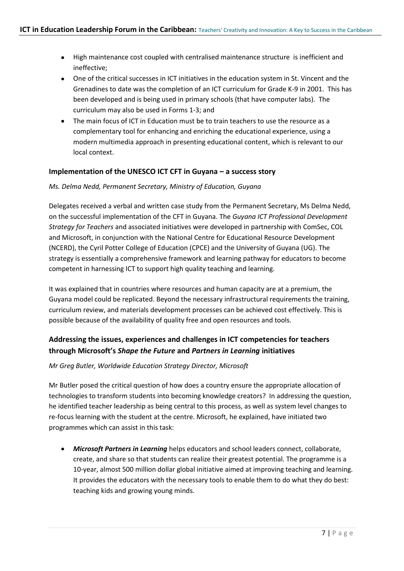- High maintenance cost coupled with centralised maintenance structure is inefficient and ineffective;
- One of the critical successes in ICT initiatives in the education system in St. Vincent and the Grenadines to date was the completion of an ICT curriculum for Grade K-9 in 2001. This has been developed and is being used in primary schools (that have computer labs). The curriculum may also be used in Forms 1-3; and
- The main focus of ICT in Education must be to train teachers to use the resource as a complementary tool for enhancing and enriching the educational experience, using a modern multimedia approach in presenting educational content, which is relevant to our local context.

#### **Implementation of the UNESCO ICT CFT in Guyana – a success story**

#### *Ms. Delma Nedd, Permanent Secretary, Ministry of Education, Guyana*

Delegates received a verbal and written case study from the Permanent Secretary, Ms Delma Nedd, on the successful implementation of the CFT in Guyana. The *Guyana ICT Professional Development Strategy for Teachers* and associated initiatives were developed in partnership with ComSec, COL and Microsoft, in conjunction with the National Centre for Educational Resource Development (NCERD), the Cyril Potter College of Education (CPCE) and the University of Guyana (UG). The strategy is essentially a comprehensive framework and learning pathway for educators to become competent in harnessing ICT to support high quality teaching and learning.

It was explained that in countries where resources and human capacity are at a premium, the Guyana model could be replicated. Beyond the necessary infrastructural requirements the training, curriculum review, and materials development processes can be achieved cost effectively. This is possible because of the availability of quality free and open resources and tools.

# **Addressing the issues, experiences and challenges in ICT competencies for teachers through Microsoft's** *Shape the Future* **and** *Partners in Learning* **initiatives**

#### *Mr Greg Butler, Worldwide Education Strategy Director, Microsoft*

Mr Butler posed the critical question of how does a country ensure the appropriate allocation of technologies to transform students into becoming knowledge creators? In addressing the question, he identified teacher leadership as being central to this process, as well as system level changes to re-focus learning with the student at the centre. Microsoft, he explained, have initiated two programmes which can assist in this task:

*Microsoft Partners in Learning* helps educators and school leaders connect, collaborate, create, and share so that students can realize their greatest potential. The programme is a 10-year, almost 500 million dollar global initiative aimed at improving teaching and learning. It provides the educators with the necessary tools to enable them to do what they do best: teaching kids and growing young minds.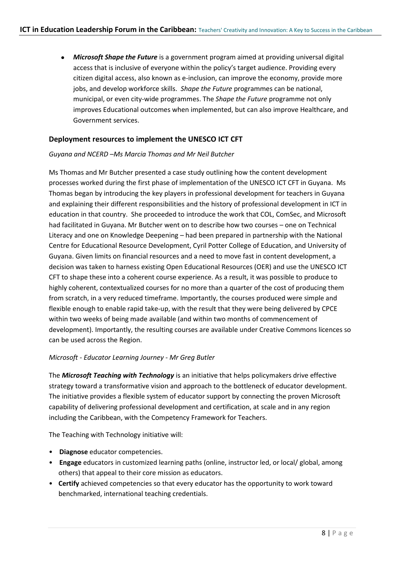*Microsoft Shape the Future* is a government program aimed at providing universal digital access that is inclusive of everyone within the policy's target audience. Providing every citizen digital access, also known as e-inclusion, can improve the economy, provide more jobs, and develop workforce skills. *Shape the Future* programmes can be national, municipal, or even city-wide programmes. The *Shape the Future* programme not only improves Educational outcomes when implemented, but can also improve Healthcare, and Government services.

#### **Deployment resources to implement the UNESCO ICT CFT**

#### *Guyana and NCERD –Ms Marcia Thomas and Mr Neil Butcher*

Ms Thomas and Mr Butcher presented a case study outlining how the content development processes worked during the first phase of implementation of the UNESCO ICT CFT in Guyana. Ms Thomas began by introducing the key players in professional development for teachers in Guyana and explaining their different responsibilities and the history of professional development in ICT in education in that country. She proceeded to introduce the work that COL, ComSec, and Microsoft had facilitated in Guyana. Mr Butcher went on to describe how two courses – one on Technical Literacy and one on Knowledge Deepening – had been prepared in partnership with the National Centre for Educational Resource Development, Cyril Potter College of Education, and University of Guyana. Given limits on financial resources and a need to move fast in content development, a decision was taken to harness existing Open Educational Resources (OER) and use the UNESCO ICT CFT to shape these into a coherent course experience. As a result, it was possible to produce to highly coherent, contextualized courses for no more than a quarter of the cost of producing them from scratch, in a very reduced timeframe. Importantly, the courses produced were simple and flexible enough to enable rapid take-up, with the result that they were being delivered by CPCE within two weeks of being made available (and within two months of commencement of development). Importantly, the resulting courses are available under Creative Commons licences so can be used across the Region.

#### *Microsoft - Educator Learning Journey - Mr Greg Butler*

The *Microsoft Teaching with Technology* is an initiative that helps policymakers drive effective strategy toward a transformative vision and approach to the bottleneck of educator development. The initiative provides a flexible system of educator support by connecting the proven Microsoft capability of delivering professional development and certification, at scale and in any region including the Caribbean, with the Competency Framework for Teachers.

The Teaching with Technology initiative will:

- **Diagnose** educator competencies.
- **Engage** educators in customized learning paths (online, instructor led, or local/ global, among others) that appeal to their core mission as educators.
- **Certify** achieved competencies so that every educator has the opportunity to work toward benchmarked, international teaching credentials.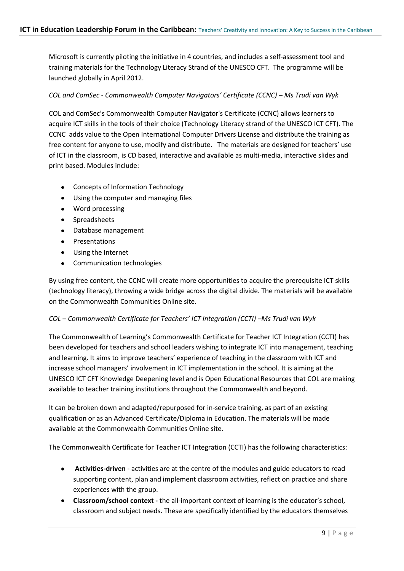Microsoft is currently piloting the initiative in 4 countries, and includes a self-assessment tool and training materials for the Technology Literacy Strand of the UNESCO CFT. The programme will be launched globally in April 2012.

#### *COL and ComSec - Commonwealth Computer Navigators' Certificate (CCNC) – Ms Trudi van Wyk*

COL and ComSec's Commonwealth Computer Navigator's Certificate (CCNC) allows learners to acquire ICT skills in the tools of their choice (Technology Literacy strand of the UNESCO ICT CFT). The CCNC adds value to the Open International Computer Drivers License and distribute the training as free content for anyone to use, modify and distribute. The materials are designed for teachers' use of ICT in the classroom, is CD based, interactive and available as multi-media, interactive slides and print based. Modules include:

- Concepts of Information Technology  $\bullet$
- Using the computer and managing files  $\bullet$
- Word processing
- **•** Spreadsheets
- Database management
- $\bullet$ Presentations
- Using the Internet
- Communication technologies  $\bullet$

By using free content, the CCNC will create more opportunities to acquire the prerequisite ICT skills (technology literacy), throwing a wide bridge across the digital divide. The materials will be available on the Commonwealth Communities Online site.

#### *COL – Commonwealth Certificate for Teachers' ICT Integration (CCTI) –Ms Trudi van Wyk*

The Commonwealth of Learning's Commonwealth Certificate for Teacher ICT Integration (CCTI) has been developed for teachers and school leaders wishing to integrate ICT into management, teaching and learning. It aims to improve teachers' experience of teaching in the classroom with ICT and increase school managers' involvement in ICT implementation in the school. It is aiming at the UNESCO ICT CFT Knowledge Deepening level and is Open Educational Resources that COL are making available to teacher training institutions throughout the Commonwealth and beyond.

It can be broken down and adapted/repurposed for in-service training, as part of an existing qualification or as an Advanced Certificate/Diploma in Education. The materials will be made available at the Commonwealth Communities Online site.

The Commonwealth Certificate for Teacher ICT Integration (CCTI) has the following characteristics:

- **Activities-driven** activities are at the centre of the modules and guide educators to read  $\bullet$ supporting content, plan and implement classroom activities, reflect on practice and share experiences with the group.
- **Classroom/school context -** the all-important context of learning is the educator's school, classroom and subject needs. These are specifically identified by the educators themselves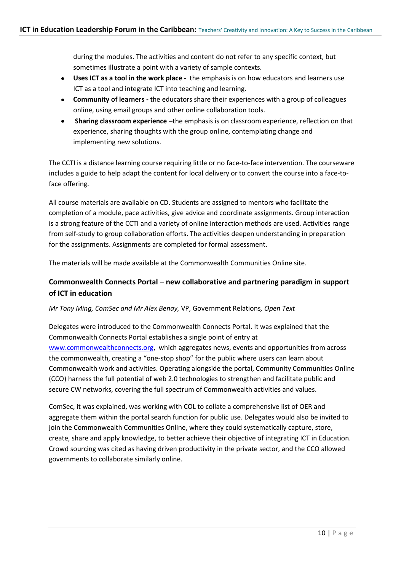during the modules. The activities and content do not refer to any specific context, but sometimes illustrate a point with a variety of sample contexts.

- **Uses ICT as a tool in the work place** the emphasis is on how educators and learners use ICT as a tool and integrate ICT into teaching and learning.
- **Community of learners - t**he educators share their experiences with a group of colleagues online, using email groups and other online collaboration tools.
- $\bullet$ **Sharing classroom experience –**the emphasis is on classroom experience, reflection on that experience, sharing thoughts with the group online, contemplating change and implementing new solutions.

The CCTI is a distance learning course requiring little or no face-to-face intervention. The courseware includes a guide to help adapt the content for local delivery or to convert the course into a face-toface offering.

All course materials are available on CD. Students are assigned to mentors who facilitate the completion of a module, pace activities, give advice and coordinate assignments. Group interaction is a strong feature of the CCTI and a variety of online interaction methods are used. Activities range from self-study to group collaboration efforts. The activities deepen understanding in preparation for the assignments. Assignments are completed for formal assessment.

The materials will be made available at the Commonwealth Communities Online site.

# **Commonwealth Connects Portal – new collaborative and partnering paradigm in support of ICT in education**

#### *Mr Tony Ming, ComSec and Mr Alex Benay,* VP, Government Relations*, Open Text*

Delegates were introduced to the Commonwealth Connects Portal. It was explained that the Commonwealth Connects Portal establishes a single point of entry at [www.commonwealthconnects.org,](http://www.commonwealthconnects.org/) which aggregates news, events and opportunities from across the commonwealth, creating a "one-stop shop" for the public where users can learn about Commonwealth work and activities. Operating alongside the portal, Community Communities Online (CCO) harness the full potential of web 2.0 technologies to strengthen and facilitate public and secure CW networks, covering the full spectrum of Commonwealth activities and values.

ComSec, it was explained, was working with COL to collate a comprehensive list of OER and aggregate them within the portal search function for public use. Delegates would also be invited to join the Commonwealth Communities Online, where they could systematically capture, store, create, share and apply knowledge, to better achieve their objective of integrating ICT in Education. Crowd sourcing was cited as having driven productivity in the private sector, and the CCO allowed governments to collaborate similarly online.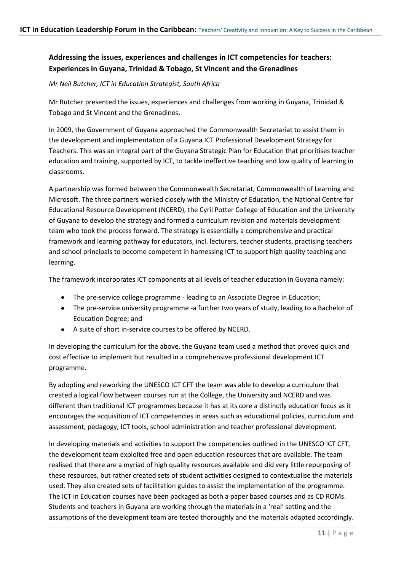# **Addressing the issues, experiences and challenges in ICT competencies for teachers: Experiences in Guyana, Trinidad & Tobago, St Vincent and the Grenadines**

*Mr Neil Butcher, ICT in Education Strategist, South Africa*

Mr Butcher presented the issues, experiences and challenges from working in Guyana, Trinidad & Tobago and St Vincent and the Grenadines.

In 2009, the Government of Guyana approached the Commonwealth Secretariat to assist them in the development and implementation of a Guyana ICT Professional Development Strategy for Teachers. This was an integral part of the Guyana Strategic Plan for Education that prioritises teacher education and training, supported by ICT, to tackle ineffective teaching and low quality of learning in classrooms.

A partnership was formed between the Commonwealth Secretariat, Commonwealth of Learning and Microsoft. The three partners worked closely with the Ministry of Education, the National Centre for Educational Resource Development (NCERD), the Cyril Potter College of Education and the University of Guyana to develop the strategy and formed a curriculum revision and materials development team who took the process forward. The strategy is essentially a comprehensive and practical framework and learning pathway for educators, incl. lecturers, teacher students, practising teachers and school principals to become competent in harnessing ICT to support high quality teaching and learning.

The framework incorporates ICT components at all levels of teacher education in Guyana namely:

- The pre-service college programme leading to an Associate Degree in Education;
- The pre-service university programme -a further two years of study, leading to a Bachelor of Education Degree; and
- A suite of short in-service courses to be offered by NCERD.

In developing the curriculum for the above, the Guyana team used a method that proved quick and cost effective to implement but resulted in a comprehensive professional development ICT programme.

By adopting and reworking the UNESCO ICT CFT the team was able to develop a curriculum that created a logical flow between courses run at the College, the University and NCERD and was different than traditional ICT programmes because it has at its core a distinctly education focus as it encourages the acquisition of ICT competencies in areas such as educational policies, curriculum and assessment, pedagogy, ICT tools, school administration and teacher professional development.

In developing materials and activities to support the competencies outlined in the UNESCO ICT CFT, the development team exploited free and open education resources that are available. The team realised that there are a myriad of high quality resources available and did very little repurposing of these resources, but rather created sets of student activities designed to contextualise the materials used. They also created sets of facilitation guides to assist the implementation of the programme. The ICT in Education courses have been packaged as both a paper based courses and as CD ROMs. Students and teachers in Guyana are working through the materials in a 'real' setting and the assumptions of the development team are tested thoroughly and the materials adapted accordingly.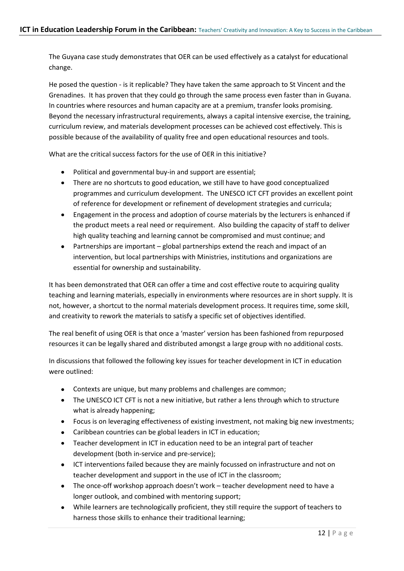The Guyana case study demonstrates that OER can be used effectively as a catalyst for educational change.

He posed the question - is it replicable? They have taken the same approach to St Vincent and the Grenadines. It has proven that they could go through the same process even faster than in Guyana. In countries where resources and human capacity are at a premium, transfer looks promising. Beyond the necessary infrastructural requirements, always a capital intensive exercise, the training, curriculum review, and materials development processes can be achieved cost effectively. This is possible because of the availability of quality free and open educational resources and tools.

What are the critical success factors for the use of OFR in this initiative?

- Political and governmental buy-in and support are essential;
- There are no shortcuts to good education, we still have to have good conceptualized programmes and curriculum development. The UNESCO ICT CFT provides an excellent point of reference for development or refinement of development strategies and curricula;
- Engagement in the process and adoption of course materials by the lecturers is enhanced if  $\bullet$ the product meets a real need or requirement. Also building the capacity of staff to deliver high quality teaching and learning cannot be compromised and must continue; and
- Partnerships are important global partnerships extend the reach and impact of an  $\bullet$ intervention, but local partnerships with Ministries, institutions and organizations are essential for ownership and sustainability.

It has been demonstrated that OER can offer a time and cost effective route to acquiring quality teaching and learning materials, especially in environments where resources are in short supply. It is not, however, a shortcut to the normal materials development process. It requires time, some skill, and creativity to rework the materials to satisfy a specific set of objectives identified.

The real benefit of using OER is that once a 'master' version has been fashioned from repurposed resources it can be legally shared and distributed amongst a large group with no additional costs.

In discussions that followed the following key issues for teacher development in ICT in education were outlined:

- Contexts are unique, but many problems and challenges are common;
- The UNESCO ICT CFT is not a new initiative, but rather a lens through which to structure what is already happening;
- Focus is on leveraging effectiveness of existing investment, not making big new investments;
- Caribbean countries can be global leaders in ICT in education;
- Teacher development in ICT in education need to be an integral part of teacher development (both in-service and pre-service);
- ICT interventions failed because they are mainly focussed on infrastructure and not on teacher development and support in the use of ICT in the classroom;
- The once-off workshop approach doesn't work teacher development need to have a longer outlook, and combined with mentoring support;
- While learners are technologically proficient, they still require the support of teachers to harness those skills to enhance their traditional learning;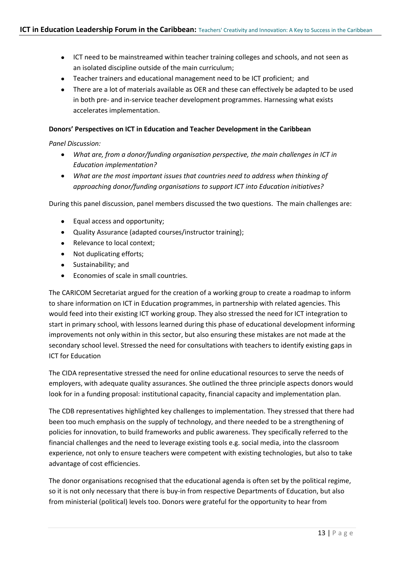- ICT need to be mainstreamed within teacher training colleges and schools, and not seen as an isolated discipline outside of the main curriculum;
- Teacher trainers and educational management need to be ICT proficient; and
- There are a lot of materials available as OER and these can effectively be adapted to be used in both pre- and in-service teacher development programmes. Harnessing what exists accelerates implementation.

#### **Donors' Perspectives on ICT in Education and Teacher Development in the Caribbean**

#### *Panel Discussion:*

- *What are, from a donor/funding organisation perspective, the main challenges in ICT in Education implementation?*
- *What are the most important issues that countries need to address when thinking of approaching donor/funding organisations to support ICT into Education initiatives?*

During this panel discussion, panel members discussed the two questions. The main challenges are:

- Equal access and opportunity;
- Quality Assurance (adapted courses/instructor training);
- Relevance to local context;
- Not duplicating efforts;
- Sustainability; and
- Economies of scale in small countries.  $\bullet$

The CARICOM Secretariat argued for the creation of a working group to create a roadmap to inform to share information on ICT in Education programmes, in partnership with related agencies. This would feed into their existing ICT working group. They also stressed the need for ICT integration to start in primary school, with lessons learned during this phase of educational development informing improvements not only within in this sector, but also ensuring these mistakes are not made at the secondary school level. Stressed the need for consultations with teachers to identify existing gaps in ICT for Education

The CIDA representative stressed the need for online educational resources to serve the needs of employers, with adequate quality assurances. She outlined the three principle aspects donors would look for in a funding proposal: institutional capacity, financial capacity and implementation plan.

The CDB representatives highlighted key challenges to implementation. They stressed that there had been too much emphasis on the supply of technology, and there needed to be a strengthening of policies for innovation, to build frameworks and public awareness. They specifically referred to the financial challenges and the need to leverage existing tools e.g. social media, into the classroom experience, not only to ensure teachers were competent with existing technologies, but also to take advantage of cost efficiencies.

The donor organisations recognised that the educational agenda is often set by the political regime, so it is not only necessary that there is buy-in from respective Departments of Education, but also from ministerial (political) levels too. Donors were grateful for the opportunity to hear from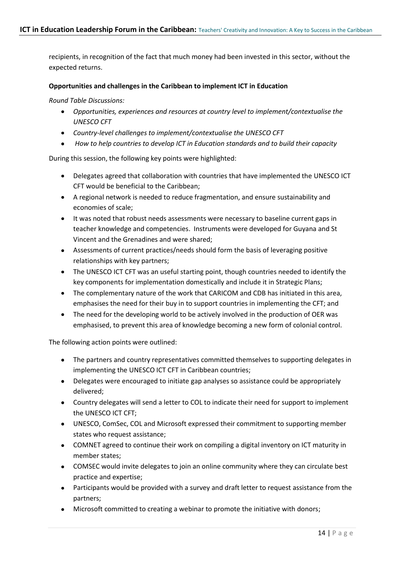recipients, in recognition of the fact that much money had been invested in this sector, without the expected returns.

#### **Opportunities and challenges in the Caribbean to implement ICT in Education**

*Round Table Discussions:*

- *Opportunities, experiences and resources at country level to implement/contextualise the UNESCO CFT*
- *Country-level challenges to implement/contextualise the UNESCO CFT*
- *How to help countries to develop ICT in Education standards and to build their capacity*

During this session, the following key points were highlighted:

- Delegates agreed that collaboration with countries that have implemented the UNESCO ICT CFT would be beneficial to the Caribbean;
- A regional network is needed to reduce fragmentation, and ensure sustainability and economies of scale;
- It was noted that robust needs assessments were necessary to baseline current gaps in teacher knowledge and competencies. Instruments were developed for Guyana and St Vincent and the Grenadines and were shared;
- Assessments of current practices/needs should form the basis of leveraging positive relationships with key partners;
- The UNESCO ICT CFT was an useful starting point, though countries needed to identify the key components for implementation domestically and include it in Strategic Plans;
- The complementary nature of the work that CARICOM and CDB has initiated in this area, emphasises the need for their buy in to support countries in implementing the CFT; and
- The need for the developing world to be actively involved in the production of OER was emphasised, to prevent this area of knowledge becoming a new form of colonial control.

The following action points were outlined:

- The partners and country representatives committed themselves to supporting delegates in implementing the UNESCO ICT CFT in Caribbean countries;
- Delegates were encouraged to initiate gap analyses so assistance could be appropriately delivered;
- Country delegates will send a letter to COL to indicate their need for support to implement the UNESCO ICT CFT;
- UNESCO, ComSec, COL and Microsoft expressed their commitment to supporting member states who request assistance;
- COMNET agreed to continue their work on compiling a digital inventory on ICT maturity in member states;
- COMSEC would invite delegates to join an online community where they can circulate best practice and expertise;
- Participants would be provided with a survey and draft letter to request assistance from the partners;
- Microsoft committed to creating a webinar to promote the initiative with donors;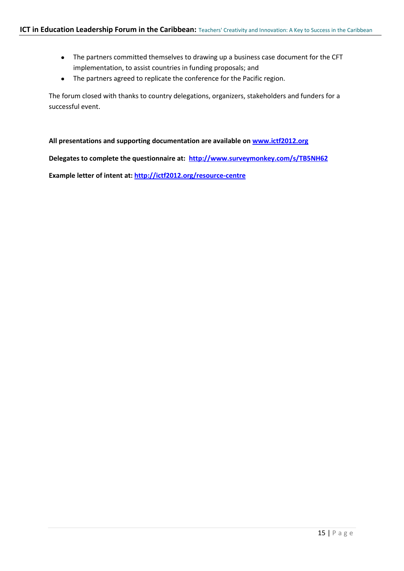- The partners committed themselves to drawing up a business case document for the CFT implementation, to assist countries in funding proposals; and
- The partners agreed to replicate the conference for the Pacific region.

The forum closed with thanks to country delegations, organizers, stakeholders and funders for a successful event.

**All presentations and supporting documentation are available on [www.ictf2012.org](http://www.ictf2012.org/)**

**Delegates to complete the questionnaire at: <http://www.surveymonkey.com/s/TB5NH62>**

**Example letter of intent at:<http://ictf2012.org/resource-centre>**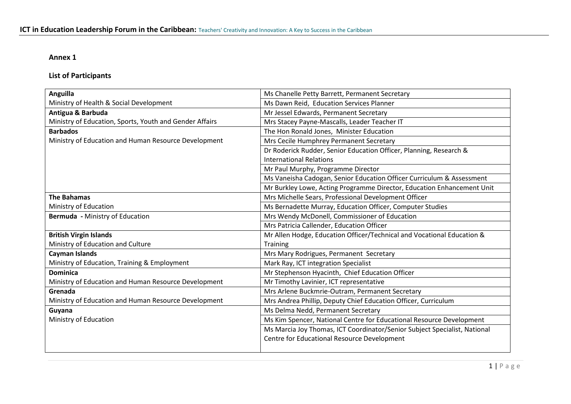## **Annex 1**

# **List of Participants**

| <b>Anguilla</b>                                         | Ms Chanelle Petty Barrett, Permanent Secretary                            |
|---------------------------------------------------------|---------------------------------------------------------------------------|
| Ministry of Health & Social Development                 | Ms Dawn Reid, Education Services Planner                                  |
| Antigua & Barbuda                                       | Mr Jessel Edwards, Permanent Secretary                                    |
| Ministry of Education, Sports, Youth and Gender Affairs | Mrs Stacey Payne-Mascalls, Leader Teacher IT                              |
| <b>Barbados</b>                                         | The Hon Ronald Jones, Minister Education                                  |
| Ministry of Education and Human Resource Development    | Mrs Cecile Humphrey Permanent Secretary                                   |
|                                                         | Dr Roderick Rudder, Senior Education Officer, Planning, Research &        |
|                                                         | <b>International Relations</b>                                            |
|                                                         | Mr Paul Murphy, Programme Director                                        |
|                                                         | Ms Vaneisha Cadogan, Senior Education Officer Curriculum & Assessment     |
|                                                         | Mr Burkley Lowe, Acting Programme Director, Education Enhancement Unit    |
| <b>The Bahamas</b>                                      | Mrs Michelle Sears, Professional Development Officer                      |
| Ministry of Education                                   | Ms Bernadette Murray, Education Officer, Computer Studies                 |
| <b>Bermuda</b> - Ministry of Education                  | Mrs Wendy McDonell, Commissioner of Education                             |
|                                                         | Mrs Patricia Callender, Education Officer                                 |
| <b>British Virgin Islands</b>                           | Mr Allen Hodge, Education Officer/Technical and Vocational Education &    |
| Ministry of Education and Culture                       | <b>Training</b>                                                           |
| Cayman Islands                                          | Mrs Mary Rodrigues, Permanent Secretary                                   |
| Ministry of Education, Training & Employment            | Mark Ray, ICT integration Specialist                                      |
| <b>Dominica</b>                                         | Mr Stephenson Hyacinth, Chief Education Officer                           |
| Ministry of Education and Human Resource Development    | Mr Timothy Lavinier, ICT representative                                   |
| Grenada                                                 | Mrs Arlene Buckmrie-Outram, Permanent Secretary                           |
| Ministry of Education and Human Resource Development    | Mrs Andrea Phillip, Deputy Chief Education Officer, Curriculum            |
| Guyana                                                  | Ms Delma Nedd, Permanent Secretary                                        |
| Ministry of Education                                   | Ms Kim Spencer, National Centre for Educational Resource Development      |
|                                                         | Ms Marcia Joy Thomas, ICT Coordinator/Senior Subject Specialist, National |
|                                                         | Centre for Educational Resource Development                               |
|                                                         |                                                                           |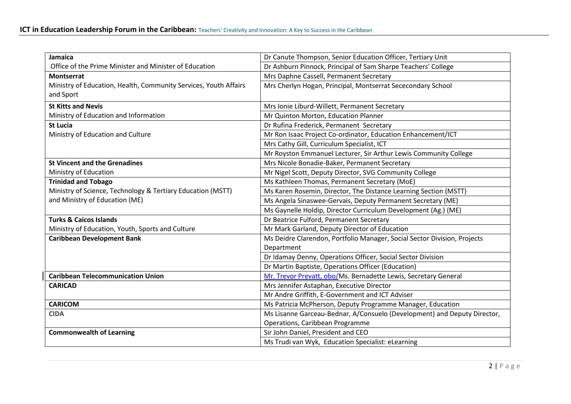| <b>Jamaica</b>                                                   | Dr Canute Thompson, Senior Education Officer, Tertiary Unit              |
|------------------------------------------------------------------|--------------------------------------------------------------------------|
| Office of the Prime Minister and Minister of Education           | Dr Ashburn Pinnock, Principal of Sam Sharpe Teachers' College            |
| <b>Montserrat</b>                                                | Mrs Daphne Cassell, Permanent Secretary                                  |
| Ministry of Education, Health, Community Services, Youth Affairs | Mrs Cherlyn Hogan, Principal, Montserrat Sececondary School              |
| and Sport                                                        |                                                                          |
| <b>St Kitts and Nevis</b>                                        | Mrs Ionie Liburd-Willett, Permanent Secretary                            |
| Ministry of Education and Information                            | Mr Quinton Morton, Education Planner                                     |
| <b>St Lucia</b>                                                  | Dr Rufina Frederick, Permanent Secretary                                 |
| Ministry of Education and Culture                                | Mr Ron Isaac Project Co-ordinator, Education Enhancement/ICT             |
|                                                                  | Mrs Cathy Gill, Curriculum Specialist, ICT                               |
|                                                                  | Mr Royston Emmanuel Lecturer, Sir Arthur Lewis Community College         |
| <b>St Vincent and the Grenadines</b>                             | Mrs Nicole Bonadie-Baker, Permanent Secretary                            |
| Ministry of Education                                            | Mr Nigel Scott, Deputy Director, SVG Community College                   |
| <b>Trinidad and Tobago</b>                                       | Ms Kathleen Thomas, Permanent Secretary (MoE)                            |
| Ministry of Science, Technology & Tertiary Education (MSTT)      | Ms Karen Rosemin, Director, The Distance Learning Section (MSTT)         |
| and Ministry of Education (ME)                                   | Ms Angela Sinaswee-Gervais, Deputy Permanent Secretary (ME)              |
|                                                                  | Ms Gaynelle Holdip, Director Curriculum Development (Ag.) (ME)           |
| <b>Turks &amp; Caicos Islands</b>                                | Dr Beatrice Fulford, Permanent Secretary                                 |
| Ministry of Education, Youth, Sports and Culture                 | Mr Mark Garland, Deputy Director of Education                            |
| <b>Caribbean Development Bank</b>                                | Ms Deidre Clarendon, Portfolio Manager, Social Sector Division, Projects |
|                                                                  | Department                                                               |
|                                                                  | Dr Idamay Denny, Operations Officer, Social Sector Division              |
|                                                                  | Dr Martin Baptiste, Operations Officer (Education)                       |
| <b>Caribbean Telecommunication Union</b>                         | Mr. Trevor Prevatt, obo/Ms. Bernadette Lewis, Secretary General          |
| <b>CARICAD</b>                                                   | Mrs Jennifer Astaphan, Executive Director                                |
|                                                                  | Mr Andre Griffith, E-Government and ICT Adviser                          |
| <b>CARICOM</b>                                                   | Ms Patricia McPherson, Deputy Programme Manager, Education               |
| <b>CIDA</b>                                                      | Ms Lisanne Garceau-Bednar, A/Consuelo (Development) and Deputy Director, |
|                                                                  | Operations, Caribbean Programme                                          |
| <b>Commonwealth of Learning</b>                                  | Sir John Daniel, President and CEO                                       |
|                                                                  | Ms Trudi van Wyk, Education Specialist: eLearning                        |